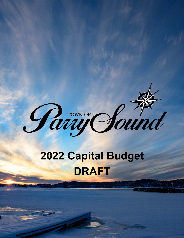

# **2022 Capital Budget DRAFT**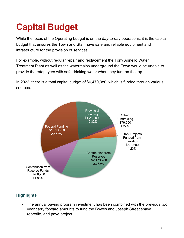## **Capital Budget**

While the focus of the Operating budget is on the day-to-day operations, it is the capital budget that ensures the Town and Staff have safe and reliable equipment and infrastructure for the provision of services.

For example, without regular repair and replacement the Tony Agnello Water Treatment Plant as well as the watermains underground the Town would be unable to provide the ratepayers with safe drinking water when they turn on the tap.

In 2022, there is a total capital budget of \$6,470,380, which is funded through various sources.



#### **Highlights**

 The annual paving program investment has been combined with the previous two year carry forward amounts to fund the Bowes and Joseph Street shave, reprofile, and pave project.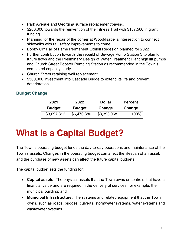- Park Avenue and Georgina surface replacement/paving.
- \$200,000 towards the reinvention of the Fitness Trail with \$187,500 in grant funding.
- Planning for the repair of the corner at Wood/Isabella intersection to connect sidewalks with rail safety improvements to come.
- Bobby Orr Hall of Fame Permanent Exhibit Redesign planned for 2022
- Further contribution towards the rebuild of Sewage Pump Station 3 to plan for future flows and the Preliminary Design of Water Treatment Plant high lift pumps and Church Street Booster Pumping Station as recommended in the Town's completed capacity study.
- Church Street retaining wall replacement
- \$500,000 investment into Cascade Bridge to extend its life and prevent deterioration.

#### **Budget Change**

| 2021          | 2022          | <b>Dollar</b> | <b>Percent</b> |
|---------------|---------------|---------------|----------------|
| <b>Budget</b> | <b>Budget</b> | Change        | Change         |
| \$3,097,312   | \$6,470,380   | \$3,393,068   | 109%           |

## **What is a Capital Budget?**

The Town's operating budget funds the day-to-day operations and maintenance of the Town's assets. Changes in the operating budget can affect the lifespan of an asset, and the purchase of new assets can affect the future capital budgets.

The capital budget sets the funding for:

- **Capital assets:** The physical assets that the Town owns or controls that have a financial value and are required in the delivery of services, for example, the municipal building; and
- **Municipal Infrastructure:** The systems and related equipment that the Town owns, such as roads, bridges, culverts, stormwater systems, water systems and wastewater systems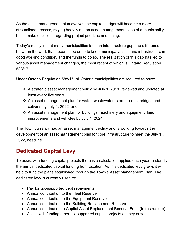As the asset management plan evolves the capital budget will become a more streamlined process, relying heavily on the asset management plans of a municipality helps make decisions regarding project priorities and timing.

Today's reality is that many municipalities face an infrastructure gap, the difference between the work that needs to be done to keep municipal assets and infrastructure in good working condition, and the funds to do so. The realization of this gap has led to various asset management changes, the most recent of which is Ontario Regulation 588/17.

Under Ontario Regulation 588/17, all Ontario municipalities are required to have:

- A strategic asset management policy by July 1, 2019, reviewed and updated at least every five years;
- An asset management plan for water, wastewater, storm, roads, bridges and culverts by July 1, 2022; and
- $\cdot$  An asset management plan for buildings, machinery and equipment, land improvements and vehicles by July 1, 2024

The Town currently has an asset management policy and is working towards the development of an asset management plan for core infrastructure to meet the July 1<sup>st</sup>, 2022, deadline.

## **Dedicated Capital Levy**

To assist with funding capital projects there is a calculation applied each year to identify the annual dedicated capital funding from taxation. As this dedicated levy grows it will help to fund the plans established through the Town's Asset Management Plan. The dedicated levy is currently used to:

- Pay for tax-supported debt repayments
- Annual contribution to the Fleet Reserve
- Annual contribution to the Equipment Reserve
- Annual contribution to the Building Replacement Reserve
- Annual contribution to Capital Asset Replacement Reserve Fund (Infrastructure)
- Assist with funding other tax supported capital projects as they arise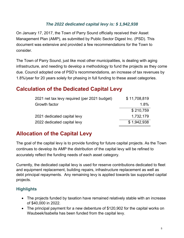#### *The 2022 dedicated capital levy is: \$ 1,942,938*

On January 17, 2017, the Town of Parry Sound officially received their Asset Management Plan (AMP), as submitted by Public Sector Digest Inc. (PSD). This document was extensive and provided a few recommendations for the Town to consider.

The Town of Parry Sound, just like most other municipalities, is dealing with aging infrastructure, and needing to develop a methodology to fund the projects as they come due. Council adopted one of PSD's recommendations, an increase of tax revenues by 1.8%/year for 20 years solely for phasing in full funding to these asset categories.

### **Calculation of the Dedicated Capital Levy**

| 2021 net tax levy required (per 2021 budget) | \$11,708,819 |
|----------------------------------------------|--------------|
| Growth factor                                | 1.8%         |
|                                              | \$210,759    |
| 2021 dedicated capital levy                  | 1,732,179    |
| 2022 dedicated capital levy                  | \$1,942,938  |

#### **Allocation of the Capital Levy**

The goal of the capital levy is to provide funding for future capital projects. As the Town continues to develop its AMP the distribution of the capital levy will be refined to accurately reflect the funding needs of each asset category.

Currently, the dedicated capital levy is used for reserve contributions dedicated to fleet and equipment replacement, building repairs, infrastructure replacement as well as debt principal repayments. Any remaining levy is applied towards tax supported capital projects.

#### **Highlights**

- The projects funded by taxation have remained relatively stable with an increase of \$40,000 in 2022.
- The principal payment for a new debenture of \$120,902 for the capital works on Waubeek/Isabella has been funded from the capital levy.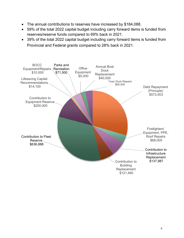- The annual contributions to reserves have increased by \$184,088.
- 59% of the total 2022 capital budget including carry forward items is funded from reserves/reserve funds compared to 69% back in 2021.
- 39% of the total 2022 capital budget including carry forward items is funded from Provincial and Federal grants compared to 28% back in 2021.

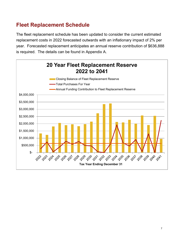## **Fleet Replacement Schedule**

The fleet replacement schedule has been updated to consider the current estimated replacement costs in 2022 forecasted outwards with an inflationary impact of 2% per year. Forecasted replacement anticipates an annual reserve contribution of \$636,888 is required. The details can be found in Appendix A.

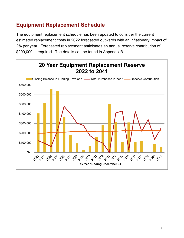## **Equipment Replacement Schedule**

The equipment replacement schedule has been updated to consider the current estimated replacement costs in 2022 forecasted outwards with an inflationary impact of 2% per year. Forecasted replacement anticipates an annual reserve contribution of \$200,000 is required. The details can be found in Appendix B.

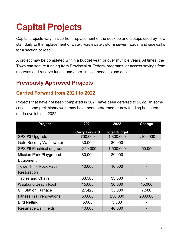## **Capital Projects**

Capital projects vary in size from replacement of the desktop and laptops used by Town staff daily to the replacement of water, wastewater, storm sewer, roads, and sidewalks for a section of road.

A project may be completed within a budget year, or over multiple years. At times, the Town can secure funding from Provincial or Federal programs, or access savings from reserves and reserve funds, and other times it needs to use debt

## **Previously Approved Projects**

#### **Carried Forward from 2021 to 2022**

Projects that have not been completed in 2021 have been deferred to 2022. In some cases, some preliminary work may have been performed or new funding has been made available in 2022.

| <b>Project</b>                   | 2021<br>2022         |                     | Change    |
|----------------------------------|----------------------|---------------------|-----------|
|                                  | <b>Carry Forward</b> | <b>Total Budget</b> |           |
| SPS #3 Upgrade                   | 700,000              | 1,800,000           | 1,100,000 |
| <b>Gate Security/Wastewater</b>  | 30,000               | 30,000              |           |
| SPS #6 Electrical upgrade        | 1,250,000            | 1,500,000           | 250,000   |
| <b>Mission Park Playground</b>   | 80,000               | 80,000              |           |
| Equipment                        |                      |                     |           |
| <b>Tower Hill - Rock Path</b>    | 10,000               | 10,000              |           |
| Restoration                      |                      |                     |           |
| <b>Tables and Chairs</b>         | 33,500               | 33,500              |           |
| <b>Waubuno Beach Roof</b>        | 15,000               | 30,000              | 15,000    |
| <b>CP Station Furnace</b>        | 27,420               | 35,000              | 7,580     |
| <b>Fitness Trail renovations</b> | 50,000               | 250,000             | 200,000   |
| <b>Bird Netting</b>              | 5,000                | 5,000               |           |
| <b>Resurface Ball Fields</b>     | 40,000               | 40,000              |           |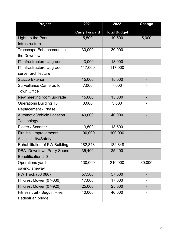| <b>Project</b>                    | 2021<br>2022         |                     | <b>Change</b> |
|-----------------------------------|----------------------|---------------------|---------------|
|                                   | <b>Carry Forward</b> | <b>Total Budget</b> |               |
| Light up the Park -               | 5,500                | 10,500              | 5,000         |
| Infrastructure                    |                      |                     |               |
| <b>Treescape Enhancement in</b>   | 30,000               | 30,000              |               |
| the Downtown                      |                      |                     |               |
| <b>IT Infrastructure Upgrade</b>  | 13,000               | 13,000              |               |
| IT Infrastructure Upgrade -       | 117,000              | 117,000             |               |
| server architecture               |                      |                     |               |
| <b>Stucco Exterior</b>            | 15,000               | 15,000              |               |
| <b>Surveillance Cameras for</b>   | 7,000                | 7,000               |               |
| <b>Town Office</b>                |                      |                     |               |
| New meeting room upgrade          | 15,000               | 15,000              |               |
| <b>Operations Building T8</b>     | 3,000                | 3,000               |               |
| Replacement - Phase II            |                      |                     |               |
| <b>Automatic Vehicle Location</b> | 40,000               | 40,000              |               |
| Technology                        |                      |                     |               |
| Plotter / Scanner                 | 13,500               | 13,500              |               |
| <b>Fire Hall Improvements</b>     | 100,000              | 100,000             |               |
| Accessibility/Safety              |                      |                     |               |
| Rehabilitation of PW Building     | 182,848              | 182,848             |               |
| <b>DBA -Downtown Parry Sound</b>  | 35,400               | 35,400              |               |
| <b>Beautification 2.0</b>         |                      |                     |               |
| Operations yard                   | 130,000              | 210,000             | 80,000        |
| paving/laneway                    |                      |                     |               |
| PW Truck (08 080)                 | 57,500               | 57,500              |               |
| Hillcrest Mower (07-630)          | 17,000               | 17,000              |               |
| Hillcrest Mower (07-920)          | 25,000               | 25,000              |               |
| Fitness trail - Seguin River      | 40,000               | 40,000              |               |
| Pedestrian bridge                 |                      |                     |               |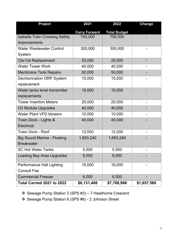| <b>Project</b>                        | 2021                 | 2022                |             |
|---------------------------------------|----------------------|---------------------|-------------|
|                                       | <b>Carry Forward</b> | <b>Total Budget</b> |             |
| <b>Isabella Train Crossing Safety</b> | 750,000              | 750,000             |             |
| Improvements                          |                      |                     |             |
| <b>Water Wastewater Control</b>       | 300,000              | 300,000             |             |
| System                                |                      |                     |             |
| <b>Cla-Val Replacement</b>            | 25,000               | 25,000              |             |
| <b>Water Tower Work</b>               | 40,000               | 40,000              |             |
| <b>Membrane Tank Repairs</b>          | 50,000               | 50,000              |             |
| <b>Dechlorination ORP System</b>      | 15,000               | 15,000              |             |
| replacement                           |                      |                     |             |
| Water tanks level transmitter         | 15,000               | 15,000              |             |
| replacements                          |                      |                     |             |
| <b>Tower Insertion Meters</b>         | 20,000               | 20,000              |             |
| I/O Module Upgrades                   | 40,000               | 40,000              |             |
| <b>Water Plant VFD blowers</b>        | 10,000               | 10,000              |             |
| Town Dock - Lights &                  | 40,000               | 40,000              |             |
| <b>Electrical</b>                     |                      |                     |             |
| <b>Town Dock - Roof</b>               | 12,000               | 12,000              |             |
| <b>Big Sound Marina - Floating</b>    | 1,693,240            | 1,693,240           |             |
| <b>Breakwater</b>                     |                      |                     |             |
| <b>SC Hot Water Tanks</b>             | 5,500                | 5,500               |             |
| <b>Loading Bay Area Upgrades</b>      | 6,000                | 6,000               |             |
| Performance Hall Lighting             | 16,000               | 16,000              |             |
| <b>Consult Fee</b>                    |                      |                     |             |
| <b>Commercial Freezer</b>             | 6,000                | 6,000               |             |
| Total Carried 2021 to 2022            | \$6,131,408          | \$7,788,988         | \$1,657,580 |

Sewage Pump Station 3 (SPS #3) – 7 Hawthorne Crescent

Sewage Pump Station 6 (SPS #6) - 2 Johnson Street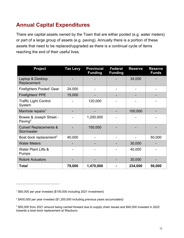## **Annual Capital Expenditures**

There are capital assets owned by the Town that are either pooled (e.g. water meters) or part of a large group of assets (e.g. paving). Annually there is a portion of these assets that need to be replaced/upgraded as there is a continual cycle of items reaching the end of their useful lives.

| <b>Project</b>                                  | <b>Tax Levy</b> | <b>Provincial</b><br><b>Funding</b> | <b>Federal</b><br><b>Funding</b> | <b>Reserve</b> | <b>Reserve</b><br><b>Funds</b> |
|-------------------------------------------------|-----------------|-------------------------------------|----------------------------------|----------------|--------------------------------|
| Laptop & Desktop<br>Replacement                 |                 |                                     |                                  | 34,000         |                                |
| <b>Firefighters Pooled' Gear</b>                | 24,000          |                                     |                                  |                |                                |
| <b>Firefighters' PPE</b>                        | 15,000          |                                     |                                  |                |                                |
| <b>Traffic Light Control</b><br>System          |                 | 120,000                             |                                  |                |                                |
| Manhole repairs <sup>1</sup>                    |                 |                                     |                                  | 100,000        |                                |
| Bowes & Joseph Street -<br>Paving <sup>2</sup>  |                 | 1,200,000                           |                                  |                |                                |
| <b>Culvert Replacements &amp;</b><br>Stormwater |                 | 150,000                             |                                  |                |                                |
| Boat dock replacement <sup>3</sup>              | 40,000          |                                     |                                  |                | 50,000                         |
| <b>Water Meters</b>                             |                 |                                     |                                  | 30,000         |                                |
| <b>Water Plant Lifts &amp;</b><br><b>Pumps</b>  |                 |                                     |                                  | 40,000         |                                |
| <b>Rotork Actuators</b>                         |                 |                                     |                                  | 30,000         |                                |
| <b>Total</b>                                    | 79,000          | 1,470,000                           |                                  | 234,000        | 50,000                         |

<sup>1 \$50,000</sup> per year invested (\$100,000 including 2021 investment)

<sup>2 \$400,000</sup> per year invested (\$1,200,000 including previous years accumulated)

<sup>3 \$50,000</sup> from 2021 amount being carried forward due to supply chain issues and \$40,000 invested in 2022 towards a boat dock replacement at Waubuno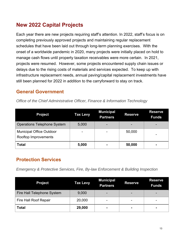### **New 2022 Capital Projects**

Each year there are new projects requiring staff's attention. In 2022, staff's focus is on completing previously approved projects and maintaining regular replacement schedules that have been laid out through long-term planning exercises. With the onset of a worldwide pandemic in 2020, many projects were initially placed on hold to manage cash flows until property taxation receivables were more certain. In 2021, projects were resumed. However, some projects encountered supply chain issues or delays due to the rising costs of materials and services expected. To keep up with infrastructure replacement needs, annual paving/capital replacement investments have still been planned for 2022 in addition to the carryforward to stay on track.

#### **General Government**

| Office of the Chief Administrative Officer, Finance & Information Technology |  |
|------------------------------------------------------------------------------|--|
|------------------------------------------------------------------------------|--|

| <b>Project</b>                                          | <b>Tax Levy</b> | <b>Municipal</b><br><b>Partners</b> | <b>Reserve</b> | <b>Reserve</b><br><b>Funds</b> |
|---------------------------------------------------------|-----------------|-------------------------------------|----------------|--------------------------------|
| <b>Operations Telephone System</b>                      | 5,000           | $\overline{\phantom{0}}$            |                |                                |
| <b>Municipal Office Outdoor</b><br>Rooftop Improvements | ۰               |                                     | 50,000         |                                |
| <b>Total</b>                                            | 5,000           | $\blacksquare$                      | 50,000         |                                |

#### **Protection Services**

*Emergency & Protective Services, Fire, By-law Enforcement & Building Inspection* 

| <b>Project</b>             | <b>Tax Levy</b> | <b>Municipal</b><br><b>Partners</b> | <b>Reserve</b>           | <b>Reserve</b><br><b>Funds</b> |
|----------------------------|-----------------|-------------------------------------|--------------------------|--------------------------------|
| Fire Hall Telephone System | 9,000           |                                     |                          |                                |
| Fire Hall Roof Repair      | 20,000          | $\overline{\phantom{0}}$            | $\overline{\phantom{0}}$ |                                |
| <b>Total</b>               | 29,000          | $\blacksquare$                      |                          | $\blacksquare$                 |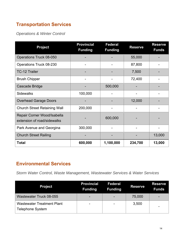### **Transportation Services**

*Operations & Winter Control* 

| <b>Project</b>                                             | <b>Provincial</b><br><b>Funding</b> | <b>Federal</b><br><b>Funding</b> | <b>Reserve</b> | <b>Reserve</b><br><b>Funds</b> |
|------------------------------------------------------------|-------------------------------------|----------------------------------|----------------|--------------------------------|
| Operations Truck 08-050                                    |                                     |                                  | 55,000         |                                |
| Operations Truck 08-230                                    |                                     |                                  | 87,800         |                                |
| <b>TC-12 Trailer</b>                                       |                                     |                                  | 7,500          |                                |
| <b>Brush Chipper</b>                                       |                                     |                                  | 72,400         |                                |
| <b>Cascade Bridge</b>                                      |                                     | 500,000                          |                |                                |
| <b>Sidewalks</b>                                           | 100,000                             |                                  |                |                                |
| <b>Overhead Garage Doors</b>                               |                                     |                                  | 12,000         |                                |
| <b>Church Street Retaining Wall</b>                        | 200,000                             |                                  |                |                                |
| Repair Corner Wood/Isabella<br>extension of road/sidewalks |                                     | 600,000                          |                |                                |
| Park Avenue and Georgina                                   | 300,000                             |                                  |                |                                |
| <b>Church Street Railing</b>                               |                                     |                                  |                | 13,000                         |
| <b>Total</b>                                               | 600,000                             | 1,100,000                        | 234,700        | 13,000                         |

#### **Environmental Services**

*Storm Water Control, Waste Management, Wastewater Services & Water Services* 

| <b>Project</b>                                               | <b>Provincial</b><br><b>Funding</b> | <b>Federal</b><br><b>Funding</b> | <b>Reserve</b> | <b>Reserve</b><br><b>Funds</b> |
|--------------------------------------------------------------|-------------------------------------|----------------------------------|----------------|--------------------------------|
| Wastewater Truck 08-055                                      | -                                   | $\overline{\phantom{0}}$         | 75,000         |                                |
| <b>Wastewater Treatment Plant</b><br><b>Telephone System</b> | ۰                                   | $\blacksquare$                   | 3,500          |                                |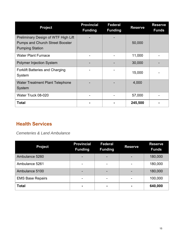| <b>Project</b>                                                                                          | <b>Provincial</b><br><b>Funding</b> | <b>Federal</b><br><b>Funding</b> | <b>Reserve</b> | <b>Reserve</b><br><b>Funds</b> |
|---------------------------------------------------------------------------------------------------------|-------------------------------------|----------------------------------|----------------|--------------------------------|
| Preliminary Design of WTF High Lift<br><b>Pumps and Church Street Booster</b><br><b>Pumping Station</b> |                                     |                                  | 50,000         |                                |
| <b>Water Plant Furnace</b>                                                                              |                                     |                                  | 11,000         |                                |
| <b>Polymer Injection System</b>                                                                         |                                     |                                  | 30,000         |                                |
| <b>Forklift Batteries and Charging</b><br>System                                                        |                                     |                                  | 15,000         |                                |
| <b>Water Treatment Plant Telephone</b><br>System                                                        |                                     |                                  | 4,000          |                                |
| Water Truck 08-020                                                                                      |                                     |                                  | 57,000         |                                |
| <b>Total</b>                                                                                            |                                     |                                  | 245,500        |                                |

#### **Health Services**

*Cemeteries & Land Ambulance* 

| <b>Project</b>          | <b>Provincial</b><br><b>Funding</b> | <b>Federal</b><br><b>Funding</b> | <b>Reserve</b> | <b>Reserve</b><br><b>Funds</b> |
|-------------------------|-------------------------------------|----------------------------------|----------------|--------------------------------|
| Ambulance 5260          |                                     |                                  |                | 180,000                        |
| Ambulance 5261          | $\overline{\phantom{0}}$            | -                                |                | 180,000                        |
| Ambulance 5100          | ۰                                   | ۰                                |                | 180,000                        |
| <b>EMS Base Repairs</b> | $\overline{\phantom{0}}$            | -                                |                | 100,000                        |
| <b>Total</b>            |                                     |                                  |                | 640,000                        |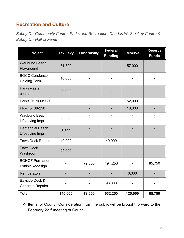#### **Recreation and Culture**

*Bobby Orr Community Centre, Parks and Recreation, Charles W. Stockey Centre & Bobby Orr Hall of Fame* 

| <b>Project</b>                                    | <b>Tax Levy</b> | <b>Fundraising</b> | <b>Federal</b><br><b>Funding</b> | <b>Reserve</b> | <b>Reserve</b><br><b>Funds</b> |
|---------------------------------------------------|-----------------|--------------------|----------------------------------|----------------|--------------------------------|
| <b>Waubuno Beach</b><br>Playground                | 31,500          |                    |                                  | 57,000         |                                |
| <b>BOCC Condenser</b><br><b>Holding Tank</b>      | 10,000          |                    |                                  |                |                                |
| Parks waste<br>containers                         | 20,000          |                    |                                  |                |                                |
| Parks Truck 08-030                                |                 |                    |                                  | 52,000         |                                |
| <b>Plow for 08-250</b>                            |                 |                    |                                  | 10,000         |                                |
| Waubuno Beach<br>Lifesaving Impr.                 | 8,300           |                    |                                  |                |                                |
| <b>Centennial Beach</b><br>Lifesaving Impr        | 5,800           |                    |                                  |                |                                |
| <b>Town Dock Repairs</b>                          | 40,000          |                    | 40,000                           |                |                                |
| <b>Town Dock</b><br>Washroom                      | 25,000          |                    |                                  |                |                                |
| <b>BOHOF Permanent</b><br><b>Exhibit Redesign</b> |                 | 79,000             | 494,250                          |                | 85,750                         |
| Refrigerators                                     |                 |                    |                                  | 6,000          |                                |
| Bayside Deck &<br><b>Concrete Repairs</b>         |                 |                    | 98,000                           |                |                                |
| <b>Total</b>                                      | 140,600         | 79,000             | 632,250                          | 125,000        | 85,750                         |

 Items for Council Consideration from the public will be brought forward to the February 22nd meeting of Council.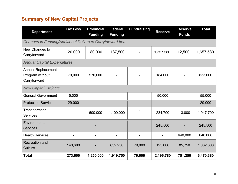#### **Summary of New Capital Projects**

| <b>Department</b>                                            | <b>Tax Levy</b> | <b>Provincial</b><br><b>Funding</b> | <b>Federal</b><br><b>Funding</b> | <b>Fundraising</b> | <b>Reserve</b> | <b>Reserve</b><br><b>Funds</b> | <b>Total</b> |
|--------------------------------------------------------------|-----------------|-------------------------------------|----------------------------------|--------------------|----------------|--------------------------------|--------------|
| Changes in Funding/Additional Dollars to Carryforward Items  |                 |                                     |                                  |                    |                |                                |              |
| New Changes to<br>Carryforward                               | 20,000          | 80,000                              | 187,500                          |                    | 1,357,580      | 12,500                         | 1,657,580    |
| <b>Annual Capital Expenditures</b>                           |                 |                                     |                                  |                    |                |                                |              |
| <b>Annual Replacement</b><br>Program without<br>Carryforward | 79,000          | 570,000                             |                                  |                    | 184,000        |                                | 833,000      |
| <b>New Capital Projects</b>                                  |                 |                                     |                                  |                    |                |                                |              |
| <b>General Government</b>                                    | 5,000           |                                     | $\blacksquare$                   |                    | 50,000         |                                | 55,000       |
| <b>Protection Services</b>                                   | 29,000          |                                     |                                  |                    |                |                                | 29,000       |
| Transportation<br><b>Services</b>                            |                 | 600,000                             | 1,100,000                        |                    | 234,700        | 13,000                         | 1,947,700    |
| Environmental<br><b>Services</b>                             |                 |                                     |                                  |                    | 245,500        |                                | 245,500      |
| <b>Health Services</b>                                       |                 |                                     |                                  |                    |                | 640,000                        | 640,000      |
| <b>Recreation and</b><br>Culture                             | 140,600         |                                     | 632,250                          | 79,000             | 125,000        | 85,750                         | 1,062,600    |
| <b>Total</b>                                                 | 273,600         | 1,250,000                           | 1,919,750                        | 79,000             | 2,196,780      | 751,250                        | 6,470,380    |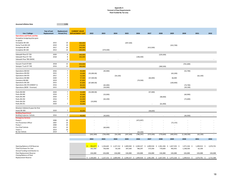#### **Appendix A Forecast of Fleet Requirements Fleet Funded By Tax Levy**

| <b>Assumed Inflation Rate</b>                                   |                                    | 2.0%                             |                                                 |                    |                          |                           |                 |                           |            |              |                                                                                            |               |              |           |
|-----------------------------------------------------------------|------------------------------------|----------------------------------|-------------------------------------------------|--------------------|--------------------------|---------------------------|-----------------|---------------------------|------------|--------------|--------------------------------------------------------------------------------------------|---------------|--------------|-----------|
| Use / Callsign                                                  | <b>Year of Last</b><br>Replacement | Replacement<br>Period (Yrs)      | <b>CURRENT VALUE</b><br><b>REPLACEMENT COST</b> | 2022               | 2023                     | 2024                      | 2025            | 2026                      | 2027       | 2028         | 2029                                                                                       | 2030          | 2031         | 2032      |
| <b>Operations and Parks and Rec</b>                             |                                    |                                  |                                                 |                    |                          |                           |                 |                           |            |              |                                                                                            |               |              |           |
| Snowplow (outgoing plow goes                                    |                                    |                                  |                                                 |                    |                          |                           |                 |                           |            |              |                                                                                            |               |              |           |
| to spare)                                                       |                                    |                                  | 360,000                                         |                    |                          |                           |                 |                           |            |              |                                                                                            |               |              |           |
| Snowplow 08-100<br>Dump Truck 08-120                            | 2015<br>2019                       | 10<br>10                         | 270,000                                         |                    |                          |                           | (397, 500)      |                           |            |              | (322, 700)                                                                                 |               |              |           |
| Snowplow 08-140                                                 | 2017                               | 10                               | 360,000                                         |                    |                          |                           |                 |                           | (413,500)  |              |                                                                                            |               |              |           |
| Snowplow 08-160                                                 | 2013                               | 10                               | 360,000                                         |                    | (374, 500)               |                           |                 |                           |            |              |                                                                                            |               |              |           |
|                                                                 |                                    |                                  |                                                 |                    |                          |                           |                 |                           |            |              |                                                                                            |               |              |           |
| Sidewalk Plow 07-720                                            | 2020                               | 8                                | 260,000                                         |                    |                          |                           |                 |                           |            | (229, 300)   |                                                                                            |               |              |           |
| Sidewalk Plow 07-730                                            | 2018                               | 8                                | 260,000                                         |                    |                          |                           |                 | (196, 500)                |            |              |                                                                                            |               |              |           |
| Sidewalk Plow TBD (NEW)                                         |                                    | 8                                |                                                 |                    |                          |                           |                 |                           |            |              |                                                                                            |               |              |           |
|                                                                 |                                    |                                  |                                                 |                    |                          |                           |                 |                           |            |              |                                                                                            |               |              |           |
| Vacuum Truck 07-650                                             | 2018                               | 12                               | 650,000                                         |                    |                          |                           |                 |                           |            |              |                                                                                            | (761, 600)    |              |           |
| Sweeper Truck 07-740                                            | 2016                               | 12                               | 300,000                                         |                    |                          |                           |                 |                           |            | (380, 500)   |                                                                                            |               |              |           |
|                                                                 |                                    |                                  |                                                 |                    |                          |                           |                 |                           |            |              |                                                                                            |               |              |           |
| Operations 08-010                                               | 2016                               | $\overline{7}$                   | 45,000                                          |                    | (45,900)                 |                           |                 |                           |            |              |                                                                                            | (52,700)      |              |           |
| Operations 08-050                                               | 2015                               | $\overline{7}$                   | 55,000                                          | (55,000.00)        |                          |                           |                 |                           |            |              | (63, 200)                                                                                  |               |              |           |
| Operations 08-070                                               | 2017                               | $\overline{7}$                   | 52,000                                          |                    |                          | (54, 100)                 |                 |                           |            |              |                                                                                            |               | (62, 100)    |           |
| Operations 08-080                                               | 2020<br>2019                       | $\overline{7}$<br>$\overline{7}$ | 57,500                                          | (57,500.00)        |                          |                           |                 |                           | (66,000)   |              | 66,000                                                                                     |               |              |           |
| Cemetery 08-090<br>Operations 08-230                            | 2015                               | $\overline{7}$                   | 87,800<br>87,800                                |                    |                          |                           |                 | (74, 500)                 |            |              | (100, 900)                                                                                 |               |              |           |
| Operations 08-270 (V00047-1)                                    | 2016                               | $\overline{7}$                   | 80,000                                          | (87,800.00)        | (65,000)                 |                           |                 |                           |            |              |                                                                                            | (74, 700)     |              |           |
| Operations (NEW - Foreman)                                      | 2015                               | $\overline{7}$                   | 34,000                                          |                    | (34,000)                 |                           |                 |                           |            |              |                                                                                            | (39, 100)     |              |           |
|                                                                 |                                    |                                  |                                                 |                    |                          |                           |                 |                           |            |              |                                                                                            |               |              |           |
| Parks 08-030                                                    | 2020                               | $\overline{7}$                   | 52,000                                          | (52,000.00)        |                          |                           |                 |                           | (57, 400)  |              |                                                                                            |               |              |           |
| Parks 08-040                                                    | 2016                               | $\overline{7}$                   | 45,000                                          |                    | (53,000)                 |                           |                 |                           |            |              |                                                                                            | (60, 900)     |              |           |
| Parks 08-290                                                    | 2020                               | $\overline{7}$                   | 87,800                                          |                    |                          |                           |                 |                           |            | (98,900)     |                                                                                            |               |              |           |
| Parks 08-250                                                    | 2016                               | $\overline{7}$                   | 62,000                                          |                    | (63, 200)                |                           |                 |                           |            |              |                                                                                            | (72,600)      |              |           |
| Parks 08-250                                                    | 2022                               |                                  | 10,000                                          | (10,000)           |                          |                           |                 |                           |            |              |                                                                                            |               |              |           |
| Parks 08-251                                                    | 2020                               | $\overline{7}$                   | 55,000                                          |                    |                          |                           |                 |                           | $\sim$     | (61,900)     |                                                                                            |               |              |           |
|                                                                 |                                    |                                  |                                                 |                    |                          |                           |                 |                           |            |              |                                                                                            |               |              |           |
| Directors Vehicle (5 years for first                            |                                    | $\overline{7}$                   |                                                 |                    |                          |                           |                 |                           |            |              |                                                                                            |               |              |           |
| lease) 08-300                                                   | 2020                               |                                  | 40,000                                          |                    |                          |                           |                 |                           | (38, 600)  |              |                                                                                            |               |              |           |
| <b>Building Department</b><br><b>Building Inspector Vehicle</b> | 2016                               | $7\overline{ }$                  | 40,000                                          |                    | (40, 800)                |                           |                 |                           |            |              |                                                                                            | (46,900)      |              |           |
| <b>Emergency Services</b>                                       |                                    |                                  |                                                 |                    |                          |                           |                 |                           |            |              |                                                                                            |               |              |           |
| Pump <sub>2</sub>                                               | 2006                               | 20                               |                                                 |                    |                          |                           | ×               | (472, 097)                |            |              | $\sim$                                                                                     |               |              |           |
| Fire Prevention Officer                                         | 2007                               | 10                               |                                                 |                    | $\overline{\phantom{a}}$ |                           |                 |                           |            |              | (72, 155)                                                                                  |               |              |           |
| Pump 1                                                          | 2000                               | 20                               |                                                 |                    | $\overline{a}$           |                           |                 |                           |            |              |                                                                                            |               |              |           |
| Fire Chief Vehicle                                              | 2012                               | 10                               |                                                 |                    | (60,000)                 |                           |                 |                           |            |              |                                                                                            |               |              |           |
| Tower 1                                                         | 2014                               | 20                               |                                                 |                    |                          |                           |                 |                           |            |              |                                                                                            |               |              |           |
| By-law Vehicle                                                  | 2019                               | $\overline{7}$                   |                                                 |                    |                          |                           |                 | (43, 200)                 |            |              |                                                                                            |               |              |           |
|                                                                 |                                    |                                  |                                                 | (262, 300)         | (736, 400)               | (54, 100)                 | (397, 500)      | (786, 297)                | (575, 500) | (770, 600)   | (492, 955)                                                                                 | (1, 108, 500) | (62, 100)    |           |
|                                                                 |                                    |                                  |                                                 |                    |                          |                           |                 |                           |            |              |                                                                                            |               |              |           |
|                                                                 |                                    |                                  |                                                 | 2022               | 2023                     | 2024                      | 2025            | 2026                      | 2027       | 2028         | 2029                                                                                       | 2030          | 2031         | 2032      |
|                                                                 |                                    |                                  |                                                 |                    |                          |                           |                 |                           |            |              |                                                                                            |               |              |           |
| Opening Balance of All Reserves                                 |                                    |                                  |                                                 | Ś.<br>$952,077$ \$ |                          | 1,326,665 \$ 1,227,152 \$ | 1,809,940<br>\$ | 2,049,327 \$ 1,899,918 \$ |            | 1,961,306 \$ | 1,827,593<br>\$                                                                            | 1,971,526 \$  | 1,499,913 \$ | 2,074,701 |
| <b>Total Purchases For Year</b>                                 |                                    |                                  |                                                 | 262,300            | 736,400                  | 54,100                    | 397,500         | 786,297                   | 575,500    | 770,600      | 492,955                                                                                    | 1,108,500     | 62,100       |           |
| Annual Funding Contribution to                                  |                                    |                                  |                                                 |                    |                          |                           |                 |                           |            |              |                                                                                            |               |              |           |
| Fleet Replacement Reserve                                       |                                    |                                  |                                                 | 636,888            | 636,888                  | 636,888                   | 636,888         | 636,888                   | 636,888    | 636,888      | 636,888                                                                                    | 636,888       | 636,888      | 636,888   |
| Closing Balance of Fleet                                        |                                    |                                  |                                                 |                    |                          |                           |                 |                           |            |              |                                                                                            |               |              |           |
| <b>Replacement Reserve</b>                                      |                                    |                                  |                                                 | $$1,326,665$ \$    |                          |                           |                 |                           |            |              | 1,227,152 \$ 1,809,940 \$ 2,049,327 \$ 1,899,918 \$ 1,961,306 \$ 1,827,593 \$ 1,971,526 \$ | 1,499,913 \$  | 2,074,701 \$ | 2,711,589 |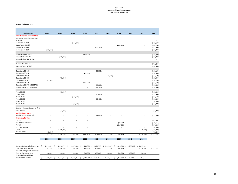#### **Appendix A Forecast of Fleet Requirements Fleet Funded By Tax Levy**

#### **Assumed Inflation Rate**

 $\mathcal{L}_{\text{max}}$ 

| Use / Callsign                                                      |    | 2033                    | 2034                          | 2035                 | 2036                       |     | 2037                 | 2038                      | 2039                         |     | 2040      |    | 2041                   | <b>Total</b>             |
|---------------------------------------------------------------------|----|-------------------------|-------------------------------|----------------------|----------------------------|-----|----------------------|---------------------------|------------------------------|-----|-----------|----|------------------------|--------------------------|
| <b>Operations and Parks and Rec</b><br>Snowplow (outgoing plow goes |    |                         |                               |                      |                            |     |                      |                           |                              |     |           |    |                        |                          |
| to spare)<br>Snowplow 08-100<br>Dump Truck 08-120                   |    |                         |                               | (484, 600)           |                            |     |                      |                           | (393, 400)                   |     |           |    |                        | (522, 100)<br>(446, 100) |
| Snowplow 08-140<br>Snowplow 08-160                                  |    | (456, 500)              |                               |                      |                            |     | (504, 100)           |                           |                              |     |           |    |                        | (557, 600)<br>(471,000)  |
| Sidewalk Plow 07-720                                                |    |                         |                               |                      | (268, 700)                 |     |                      |                           |                              |     |           |    |                        | (498,000)                |
| Sidewalk Plow 07-730<br>Sidewalk Plow TBD (NEW)                     |    |                         | (230, 200)                    |                      |                            |     |                      |                           |                              |     |           |    |                        | (426, 700)               |
|                                                                     |    |                         |                               |                      |                            |     |                      |                           |                              |     |           |    |                        |                          |
| Vacuum Truck 07-650<br>Sweeper Truck 07-740                         |    |                         |                               |                      |                            |     |                      |                           |                              |     |           |    |                        | (761, 600)<br>(380, 500) |
| Operations 08-010                                                   |    |                         |                               |                      |                            |     | (60, 500)            |                           |                              |     |           |    |                        | (159, 100)               |
| Operations 08-050<br>Operations 08-070                              |    |                         |                               |                      | (72,600)                   |     |                      | (71, 300)                 |                              |     |           |    |                        | (190, 800)<br>(187, 500) |
| Operations 08-080                                                   |    |                         | (75, 800)                     |                      |                            |     |                      |                           |                              |     |           |    |                        | (133, 300)               |
| Cemetery 08-090<br>Operations 08-230                                |    | (85,600)                |                               |                      |                            |     |                      |                           |                              |     |           |    |                        | (160, 100)               |
| Operations 08-270 (V00047-1)                                        |    |                         |                               |                      | (115,900)                  |     | (85, 800)            |                           |                              |     |           |    |                        | (304, 600)<br>(225, 500) |
| Operations (NEW - Foreman)                                          |    |                         |                               |                      |                            |     | (44,900)             |                           |                              |     |           |    |                        | (118,000)                |
| Parks 08-030<br>Parks 08-040                                        |    |                         | (65,900)                      |                      |                            |     | (70,000)             |                           |                              |     |           |    |                        | (175, 300)<br>(183,900)  |
| Parks 08-290                                                        |    |                         |                               | (113,600)            |                            |     |                      |                           |                              |     |           |    |                        | (212, 500)               |
| Parks 08-250                                                        |    |                         |                               |                      |                            |     | (83, 400)            |                           |                              |     |           |    |                        | (219, 200)               |
| Parks 08-250<br>Parks 08-251                                        |    |                         |                               | (71, 100)            |                            |     |                      |                           |                              |     |           |    |                        | (10,000)<br>(133,000)    |
|                                                                     |    |                         |                               |                      |                            |     |                      |                           |                              |     |           |    |                        |                          |
| Directors Vehicle (5 years for first<br>lease) 08-300               |    |                         | (44, 300)                     |                      |                            |     |                      |                           |                              |     |           |    |                        | (82,900)                 |
| <b>Building Department</b><br><b>Building Inspector Vehicle</b>     |    |                         |                               |                      |                            |     | (53,900)             |                           |                              |     |           |    |                        | (141, 600)               |
| <b>Emergency Services</b><br>Pump <sub>2</sub>                      |    |                         |                               |                      |                            |     |                      |                           |                              |     |           |    |                        | (472,097)                |
| <b>Fire Prevention Officer</b>                                      |    |                         |                               |                      |                            |     |                      |                           | (88,000)                     |     |           |    |                        | (160, 155)               |
| Pump 1                                                              |    |                         |                               |                      |                            |     |                      |                           | (817, 300)                   |     |           |    |                        | (817, 300)               |
| Fire Chief Vehicle<br>Tower 1                                       |    |                         | (1,500,000)                   |                      |                            |     |                      |                           |                              |     |           |    | (2,228,900)            | (60,000)<br>(3,728,900)  |
| By-law Vehicle                                                      |    | (49,600)                |                               |                      |                            |     |                      |                           |                              |     |           |    |                        | (92, 800)                |
|                                                                     |    | (591, 700)              | (1,916,200)                   | (669, 300)           | (457, 200)                 |     | (902, 600)           | (71, 300)                 | (1, 298, 700)                |     |           |    | (2, 228, 900)          | (13, 382, 152)           |
|                                                                     |    | 2033                    | 2034                          | 2035                 | 2036                       |     | 2037                 | 2038                      | 2039                         |     | 2040      |    | 2041                   |                          |
|                                                                     |    |                         |                               |                      |                            |     |                      |                           |                              |     |           |    |                        |                          |
| Opening Balance of All Reserves<br><b>Total Purchases For Year</b>  | -S | 2,711,589 \$<br>591,700 | 2,756,776<br>-\$<br>1,916,200 | 1,477,464<br>669,300 | \$<br>1,445,051<br>457,200 | -\$ | 1,624,739<br>902,600 | \$<br>1,359,027<br>71,300 | \$<br>1,924,614<br>1,298,700 | \$. | 1,262,802 | \$ | 1,899,689<br>2,228,900 | 13,382,152               |
| Annual Funding Contribution to<br><b>Fleet Replacement Reserve</b>  |    |                         |                               |                      |                            |     |                      |                           |                              |     |           |    |                        |                          |
| Closing Balance of Fleet                                            |    | 636,888                 | 636,888                       | 636,888              | 636,888                    |     | 636,888              | 636,888                   | 636,888                      |     | 636,888   |    | 636,888                |                          |
| <b>Replacement Reserve</b>                                          | \$ | 2,756,776<br>\$         | 1,477,464<br>Ś                | 1,445,051            | \$<br>1,624,739            | \$  | 1,359,027            | \$<br>1,924,614           | \$<br>1,262,802              | \$  | 1,899,689 | Ś  | 307,677                |                          |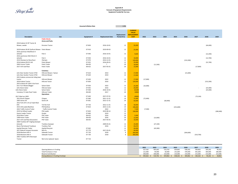

#### **Appendix B Forecast of Equipment Requirements Equipment Funded By Tax Levy**

|                                                                           |                                               | <b>Assumed Inflation Rate</b> |                         | 2.0%         |                                                      |                              |              |            |                |            |            |             |            |
|---------------------------------------------------------------------------|-----------------------------------------------|-------------------------------|-------------------------|--------------|------------------------------------------------------|------------------------------|--------------|------------|----------------|------------|------------|-------------|------------|
|                                                                           |                                               |                               |                         | Replacement  | <b>CURRENT</b><br><b>VALUE</b><br><b>REPLACEMENT</b> |                              |              |            |                |            |            |             |            |
| <b>Description</b>                                                        | Use                                           | <b>Equipment#</b>             | <b>Replacement Date</b> | Period (Yrs) | <b>COST</b>                                          | 2022                         | 2023         | 2024       | 2025           | 2026       | 2027       | 2028        | 2029       |
|                                                                           | <b>Public Works</b><br><b>Arena and Parks</b> |                               |                         |              |                                                      |                              |              |            |                |            |            |             |            |
| 2016 Kubota 32 HP Tractor &                                               |                                               |                               |                         |              |                                                      |                              |              |            |                |            |            |             |            |
| Mower, seeder                                                             | Kinsmen Tractor                               | 07-850                        | 2016-10-01              | 12           | 35,000                                               |                              |              |            |                |            |            | (44, 400)   |            |
|                                                                           |                                               |                               |                         |              |                                                      |                              |              |            |                |            |            |             |            |
| 2019 Kubota 28 HP Outfront Mower Parks Mower<br>2016 sportman 450/Winch 4 |                                               | 07-910                        | 2019-09-03              | 12           | 25,000                                               |                              |              |            |                |            |            |             |            |
| wheeler                                                                   | Park 2                                        | 07-940                        | 2016-10-01              | 12           | 9,600                                                |                              |              |            |                |            |            | (12, 200)   |            |
| 2016 sportsman 450/ Winch 4                                               |                                               |                               |                         |              |                                                      |                              |              |            |                |            |            |             |            |
| wheeler                                                                   | Park 1                                        | 07-950                        | 2016-10-01              | 12           | 10,000                                               |                              |              |            |                |            |            | (12,700)    |            |
| 2014 Olympia Ice Resurfacer                                               | Olympia                                       | 07-970                        | 2014-12-01              | 12           | 120,000                                              |                              |              |            |                | (152, 200) |            |             |            |
| 2016 Kubota ZD1211-60                                                     | Parks Mower                                   | 07-925                        | 2016-09-01              | 12           | 25,000                                               |                              |              |            |                |            |            | (31,700)    |            |
| 2003 Connor Trailer                                                       | Parks Trailer                                 | 08-420                        | $\overline{?}$          | 20           | 10,000                                               |                              | (11,500)     |            |                |            |            |             |            |
| 2017 mill road float                                                      | Parks Trailer                                 | 08-422                        | 2017-05-01              | 20           | 12,000                                               |                              |              |            |                |            | (17, 800)  |             |            |
|                                                                           |                                               |                               |                         |              |                                                      |                              |              |            |                |            |            |             |            |
|                                                                           | Cemetery                                      |                               |                         |              |                                                      |                              |              |            |                |            |            |             |            |
| John Deer Garden Tractor X750                                             | Hillcrest Mower / Sylvan                      | 07-610                        | 2014                    | 12           | 17,000                                               |                              |              |            |                | (21, 600)  |            |             |            |
| John Deer Garden Tractor X750                                             | <b>Hillcrest Mower</b>                        | 07-620                        | 2019                    | 12           | 17,000                                               |                              |              |            |                |            |            |             |            |
| 2021 Kubota commercial riding lawn                                        |                                               |                               |                         |              |                                                      |                              |              |            |                |            |            |             |            |
| tractor                                                                   | <b>Hillcrest Mower</b>                        | 07-630                        | 2022                    | 12           | 17,000                                               | (17,000)                     |              |            |                |            |            |             |            |
| 2016 Kubota Tractor                                                       | Hillcrest Tactor                              | 07-830                        | 2016                    | 12           | 120,000                                              |                              |              |            |                |            |            | (152, 200)  |            |
| 2021 Kubota ZD 1200-3 Out front                                           |                                               |                               |                         |              |                                                      |                              |              |            |                |            |            |             |            |
| Zero Turn Mower/Bagger                                                    | Sylvan Gator                                  | 07-920                        | 2022                    | 12           | 25,000                                               | (25,000)                     |              |            |                |            |            |             |            |
| John Deere Gator                                                          | <b>Hillcrest Gator</b>                        | 07-935                        | 2016                    | 12           | 20,000                                               |                              |              |            |                |            |            | (25, 400)   |            |
| John Deere Gator                                                          | Sylvan Gator                                  | 07-930                        | 2016-10-01              | 12           | 20,000                                               |                              |              |            |                |            |            | (25, 400)   |            |
| Cemetery Tri Axle Float Trailer                                           | <b>Hillcrest Trailer</b>                      | 08-440                        | 2017                    | 20           | 10000                                                |                              |              |            |                |            |            |             |            |
|                                                                           | <b>Operations</b>                             |                               |                         |              |                                                      |                              |              |            |                |            |            |             |            |
| 2017 Mad vac LN50                                                         |                                               | 07-640                        | 2017-07-01              | 10           | 60000                                                |                              |              |            |                |            | (73, 100)  |             |            |
| 2012 Brush Chipper                                                        | Chipper                                       | 07-060                        | 2011-12-31              | 10           | 72,400                                               | (72, 400)                    |              |            |                |            |            |             |            |
| 2005 Genie Lift<br>2012 Fork Lift C-25 w/ triple Mast                     | Genie Lift                                    | 07-061                        | 2012-12-31              | 20           | 50,000                                               |                              |              | (60, 900)  |                |            |            |             |            |
| EPA                                                                       | Trsf Stn Fork                                 | 07-750                        | 2012-11-01              | 18           | 50,000                                               |                              |              |            |                |            |            |             |            |
| 2015 JCB Loader/Backhoe                                                   | PW Backhoe                                    | 07-810                        | 2015-11-01              | 10           | 190,000                                              |                              |              |            | (231, 600)     |            |            |             |            |
| 2022 Traffic Control Trailer                                              | <b>Traffic Control Trailer</b>                |                               | 2022                    | 10           | 7,500                                                | (7,500)                      |              |            |                |            |            |             |            |
| 2019 Cat Wheel Loader                                                     | PW Loader                                     | 07-820                        | 2019-08-14              | 10           | 230,000                                              |                              |              |            |                |            |            |             | (280, 400) |
| Zeetor Loader Tractor                                                     | Grader                                        | 07-840                        | 2019                    | 15           |                                                      |                              |              |            |                |            |            |             |            |
| 2016 Mara Trailer                                                         | PW Trailer                                    | 08-425                        | 2016                    | 20           | 5,000                                                |                              |              |            |                |            |            |             |            |
| 1999 Home Trailer                                                         | <b>PW Trailer</b>                             | 08-430                        | 2016                    | 20           | 12,000                                               |                              | (13,000)     |            |                |            |            |             |            |
| 2017 mill road float (Excavotor)                                          | PW Trailer                                    | 08-435                        | 2017-05-01              | 20           | 10,000                                               |                              |              |            |                |            |            |             |            |
| 2009 Trackless 60" Angling Sweeper                                        |                                               |                               |                         |              |                                                      |                              |              |            |                |            |            |             |            |
| (shared)                                                                  | <b>Trackless Sweeper</b>                      |                               | 2009-05-01              | 12           | 25,000                                               |                              | (27, 100)    |            |                |            |            |             |            |
| Boom Flail (shared Trackless)                                             | <b>Trackless Flail</b>                        |                               | 2016                    | 12           | 45,074                                               |                              |              |            |                |            |            |             |            |
| Asphalt Recycler Trailer                                                  | Asphalt Recycler                              | 07-062                        |                         | 12           | 40,000                                               |                              | (43, 300)    |            |                |            |            |             |            |
| 2017 Bobcat Compact Excavator                                             | Mini Ex                                       | 07-770                        | 2017-05-01              | 12           | 90,000                                               |                              |              |            |                |            |            |             |            |
| 2018 Macleans MV-4                                                        | Sidewalk Tractor                              | 07-720                        | 2018                    | $\mathbf{g}$ | 260,000                                              |                              |              |            |                | (304, 600) |            |             |            |
| 2018 Macleans MV-4                                                        | Sidewalk Tractor                              | 07-730                        | 2018                    | $\mathbf{8}$ | 260,000                                              |                              |              |            |                |            | (310, 700) |             |            |
| 2002 Trackless MT5 Municipal                                              |                                               |                               |                         |              |                                                      |                              |              |            |                |            |            |             |            |
| Tractor                                                                   | Not to be replaced- Spare                     | 07-710                        |                         |              |                                                      |                              |              |            |                |            |            |             |            |
|                                                                           |                                               |                               |                         |              |                                                      | 2022                         | 2023         | 2024       | 2025           | 2026       | 2027       | 2028        | 2029       |
|                                                                           | Opening Balance in Funding                    |                               |                         |              |                                                      | 327,562                      | 405,662      | 510,762    | 659,862        | 638,262    | 369,862    | 183,262     | 94,262     |
|                                                                           | <b>Total Purchases in Year</b>                |                               |                         |              |                                                      | 121,900                      | 94,900       | 60,900     | 231,600        | 478,400    | 401,600    | 304,000     | 280,400    |
|                                                                           | <b>Reserve Contribution</b>                   |                               |                         |              |                                                      | 200,000                      | 200,000      | 210,000    | 210,000        | 210,000    | 215,000    | 215,000     | 215,000    |
|                                                                           | <b>Closing Balance in Funding Envelope</b>    |                               |                         |              |                                                      | $405,662$ \$<br>$\mathsf{S}$ | $510,762$ \$ | 659,862 \$ | 638,262<br>- S | 369,862 \$ | 183,262 \$ | $94,262$ \$ | 28,862     |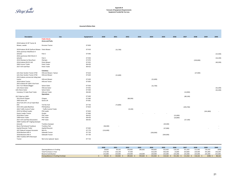

#### **Appendix B Forecast of Equipment Requirements Equipment Funded By Tax Levy**

#### **Assumed Inflation Rate**

| <b>Description</b>                                             | Use                                                | <b>Equipment #</b> | 2030       | 2031      | 2032      | 2033 | 2034      | 2035      | 2036      | 2037       | 2038      | 2039       | 2040      |
|----------------------------------------------------------------|----------------------------------------------------|--------------------|------------|-----------|-----------|------|-----------|-----------|-----------|------------|-----------|------------|-----------|
|                                                                | <b>Public Works</b>                                |                    |            |           |           |      |           |           |           |            |           |            |           |
|                                                                | <b>Arena and Parks</b>                             |                    |            |           |           |      |           |           |           |            |           |            |           |
| 2016 Kubota 32 HP Tractor &                                    |                                                    |                    |            |           |           |      |           |           |           |            |           |            |           |
| Mower, seeder                                                  | Kinsmen Tractor                                    | 07-850             |            |           |           |      |           |           |           |            |           |            |           |
| 2019 Kubota 28 HP Outfront Mower Parks Mower                   |                                                    | 07-910             |            | (31,700)  |           |      |           |           |           |            |           |            |           |
| 2016 sportman 450/Winch 4                                      |                                                    |                    |            |           |           |      |           |           |           |            |           |            |           |
| wheeler                                                        | Park 2                                             | 07-940             |            |           |           |      |           |           |           |            |           |            | (15,500)  |
| 2016 sportsman 450/ Winch 4                                    |                                                    |                    |            |           |           |      |           |           |           |            |           |            |           |
| wheeler                                                        | Park 1                                             | 07-950             |            |           |           |      |           |           |           |            |           |            | (16, 100) |
| 2014 Olympia Ice Resurfacer                                    | Olympia                                            | 07-970             |            |           |           |      |           |           |           |            | (193,000) |            |           |
| 2016 Kubota ZD1211-60                                          | Parks Mower                                        | 07-925             |            |           |           |      |           |           |           |            |           |            | (40, 200) |
| 2003 Connor Trailer                                            | Parks Trailer                                      | 08-420             |            |           |           |      |           |           |           |            |           |            |           |
| 2017 mill road float                                           | Parks Trailer                                      | 08-422             |            |           |           |      |           |           |           |            |           |            |           |
|                                                                |                                                    |                    |            |           |           |      |           |           |           |            |           |            |           |
|                                                                | Cemetery                                           |                    |            |           |           |      |           |           |           |            |           |            |           |
| John Deer Garden Tractor X750<br>John Deer Garden Tractor X750 | Hillcrest Mower / Sylvan<br><b>Hillcrest Mower</b> | 07-610<br>07-620   |            |           |           |      |           |           |           |            | (27, 400) |            |           |
| 2021 Kubota commercial riding lawn                             |                                                    |                    |            | (21,600)  |           |      |           |           |           |            |           |            |           |
| tractor                                                        | <b>Hillcrest Mower</b>                             | 07-630             |            |           |           |      | (21,600)  |           |           |            |           |            |           |
| 2016 Kubota Tractor                                            | <b>Hillcrest Tactor</b>                            | 07-830             |            |           |           |      |           |           |           |            |           |            |           |
| 2021 Kubota ZD 1200-3 Out front                                |                                                    |                    |            |           |           |      |           |           |           |            |           |            |           |
| Zero Turn Mower/Bagger                                         | Sylvan Gator                                       | 07-920             |            |           |           |      | (31,700)  |           |           |            |           |            |           |
| John Deere Gator                                               | <b>Hillcrest Gator</b>                             | 07-935             |            |           |           |      |           |           |           |            |           |            | (32, 200) |
| John Deere Gator                                               | Sylvan Gator                                       | 07-930             |            |           |           |      |           |           |           |            |           |            | (32, 200) |
| Cemetery Tri Axle Float Trailer                                | <b>Hillcrest Trailer</b>                           | 08-440             |            |           |           |      |           |           |           | (14,900)   |           |            |           |
|                                                                | <b>Operations</b>                                  |                    |            |           |           |      |           |           |           |            |           |            |           |
| 2017 Mad vac LN50                                              |                                                    | 07-640             |            |           |           |      |           |           |           | (89, 100)  |           |            |           |
| 2012 Brush Chipper                                             | Chipper                                            | 07-060             |            |           | (88, 300) |      |           |           |           |            |           |            |           |
| 2005 Genie Lift                                                | Genie Lift                                         | 07-061             |            |           |           |      |           |           |           |            |           |            |           |
| 2012 Fork Lift C-25 w/ triple Mast                             |                                                    |                    |            |           |           |      |           |           |           |            |           |            |           |
| EPA                                                            | Trsf Stn Fork                                      | 07-750             |            | (72, 800) |           |      |           |           |           |            |           |            |           |
| 2015 JCB Loader/Backhoe<br>2022 Traffic Control Trailer        | PW Backhoe<br><b>Traffic Control Trailer</b>       | 07-810             |            |           |           |      |           |           |           | (293, 700) |           |            |           |
| 2019 Cat Wheel Loader                                          | PW Loader                                          | 07-820             |            |           | (9, 100)  |      |           |           |           |            |           | (341, 800) |           |
| Zeetor Loader Tractor                                          | Grader                                             | 07-840             |            |           |           |      |           |           |           |            |           |            |           |
| 2016 Mara Trailer                                              | <b>PW Trailer</b>                                  | 08-425             |            |           |           |      |           |           | (13,000)  |            |           |            |           |
| 1999 Home Trailer                                              | PW Trailer                                         | 08-430             |            |           |           |      |           |           | (10, 800) |            |           |            |           |
| 2017 mill road float (Excavotor)                               | <b>PW Trailer</b>                                  | 08-435             |            |           |           |      |           |           |           | (27, 100)  |           |            |           |
| 2009 Trackless 60" Angling Sweeper                             |                                                    |                    |            |           |           |      |           |           |           |            |           |            |           |
| (shared)                                                       | <b>Trackless Sweeper</b>                           |                    |            |           |           |      |           | (29, 300) |           |            |           |            |           |
| Boom Flail (shared Trackless)                                  | <b>Trackless Flail</b>                             |                    | (58, 300)  |           |           |      |           |           |           |            |           |            |           |
| Asphalt Recycler Trailer                                       | Asphalt Recycler                                   | 07-062             |            |           |           |      |           | (37,000)  |           |            |           |            |           |
| 2017 Bobcat Compact Excavator                                  | Mini Ex                                            | 07-770             | (116, 400) |           |           |      |           |           |           |            |           |            |           |
| 2018 Macleans MV-4                                             | Sidewalk Tractor                                   | 07-720             |            |           |           |      | (356,900) |           |           |            |           |            |           |
| 2018 Macleans MV-4                                             | Sidewalk Tractor                                   | 07-730             |            |           |           |      |           | (364,000) |           |            |           |            |           |
| 2002 Trackless MT5 Municipal                                   |                                                    |                    |            |           |           |      |           |           |           |            |           |            |           |
| Tractor                                                        | Not to be replaced- Spare                          | 07-710             |            |           |           |      |           |           |           |            |           |            |           |
|                                                                |                                                    |                    |            |           |           |      |           |           |           |            |           |            |           |

|                                            | 2030    | 2031    | 2032    | 2033    | 2034    | 2035    | 2036    | 2037    | 2038    | 2039    | 2040    |
|--------------------------------------------|---------|---------|---------|---------|---------|---------|---------|---------|---------|---------|---------|
| Opening Balance in Funding                 | 28.862  | 69,162  | 163.062 | 285,662 | 505,662 | 315.462 | 110.162 | 311.362 | 111.562 | 116.162 | (638)   |
| Total Purchases in Year                    | 174.700 | 126,100 | 97,400  |         | 410,200 | 430,300 | 23,800  | 424,800 | 220,400 | 341,800 | 136,200 |
| <b>Reserve Contribution</b>                | 215.000 | 220.000 | 220.000 | 220,000 | 220.000 | 225,000 | 225.000 | 225.000 | 225.000 | 225.000 | 225,000 |
| <b>Closing Balance in Funding Envelope</b> | 69.162  | 163,062 | 285.662 | 505.662 | 315,462 | 110.162 | 311.362 | 111.562 | 116.162 | (638)   | 88,162  |